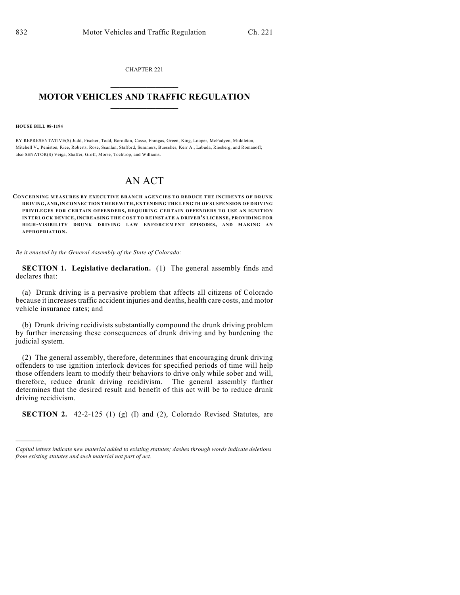CHAPTER 221  $\mathcal{L}_\text{max}$  . The set of the set of the set of the set of the set of the set of the set of the set of the set of the set of the set of the set of the set of the set of the set of the set of the set of the set of the set

### **MOTOR VEHICLES AND TRAFFIC REGULATION**  $\frac{1}{2}$  ,  $\frac{1}{2}$  ,  $\frac{1}{2}$  ,  $\frac{1}{2}$  ,  $\frac{1}{2}$  ,  $\frac{1}{2}$  ,  $\frac{1}{2}$

#### **HOUSE BILL 08-1194**

)))))

BY REPRESENTATIVE(S) Judd, Fischer, Todd, Borodkin, Casso, Frangas, Green, King, Looper, McFadyen, Middleton, Mitchell V., Peniston, Rice, Roberts, Rose, Scanlan, Stafford, Summers, Buescher, Kerr A., Labuda, Riesberg, and Romanoff; also SENATOR(S) Veiga, Shaffer, Groff, Morse, Tochtrop, and Williams.

# AN ACT

**CONCERNING MEASURES BY EXECUTIVE BRANCH AGENCIES TO REDUCE THE INCIDENTS OF DRUNK DRIVING, AND, IN CONNECTION THEREWITH, EXTENDING THE LENGTH OF SUSPENSION OF DRIVING PRIVILEGES FOR CERTAIN OFFENDERS, REQUIRING CERTAIN OFFENDERS TO USE AN IGNITION INTERLOCK DEVICE, INCREASING THE COST TO REINSTATE A DRIVER'S LICENSE, PROVIDING FOR H IG H-VISIBILITY DRUNK DRIVING LAW ENFORCEMENT EPISODES, AND MAKING AN APPROPRIATION.**

*Be it enacted by the General Assembly of the State of Colorado:*

**SECTION 1. Legislative declaration.** (1) The general assembly finds and declares that:

(a) Drunk driving is a pervasive problem that affects all citizens of Colorado because it increases traffic accident injuries and deaths, health care costs, and motor vehicle insurance rates; and

(b) Drunk driving recidivists substantially compound the drunk driving problem by further increasing these consequences of drunk driving and by burdening the judicial system.

(2) The general assembly, therefore, determines that encouraging drunk driving offenders to use ignition interlock devices for specified periods of time will help those offenders learn to modify their behaviors to drive only while sober and will, therefore, reduce drunk driving recidivism. The general assembly further determines that the desired result and benefit of this act will be to reduce drunk driving recidivism.

**SECTION 2.** 42-2-125 (1) (g) (I) and (2), Colorado Revised Statutes, are

*Capital letters indicate new material added to existing statutes; dashes through words indicate deletions from existing statutes and such material not part of act.*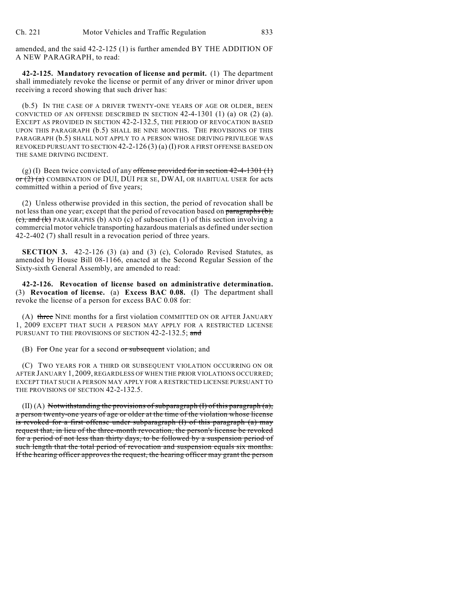amended, and the said 42-2-125 (1) is further amended BY THE ADDITION OF A NEW PARAGRAPH, to read:

**42-2-125. Mandatory revocation of license and permit.** (1) The department shall immediately revoke the license or permit of any driver or minor driver upon receiving a record showing that such driver has:

(b.5) IN THE CASE OF A DRIVER TWENTY-ONE YEARS OF AGE OR OLDER, BEEN CONVICTED OF AN OFFENSE DESCRIBED IN SECTION  $42-4-1301$  (1) (a) OR (2) (a). EXCEPT AS PROVIDED IN SECTION 42-2-132.5, THE PERIOD OF REVOCATION BASED UPON THIS PARAGRAPH (b.5) SHALL BE NINE MONTHS. THE PROVISIONS OF THIS PARAGRAPH (b.5) SHALL NOT APPLY TO A PERSON WHOSE DRIVING PRIVILEGE WAS REVOKED PURSUANT TO SECTION  $42-2-126(3)(a)(I)$  FOR A FIRST OFFENSE BASED ON THE SAME DRIVING INCIDENT.

(g) (I) Been twice convicted of any offense provided for in section  $42-4-1301$  (1)  $\sigma$   $(2)$  (a) COMBINATION OF DUI, DUI PER SE, DWAI, OR HABITUAL USER for acts committed within a period of five years;

(2) Unless otherwise provided in this section, the period of revocation shall be not less than one year; except that the period of revocation based on paragraphs (b),  $(c)$ , and  $(k)$  PARAGRAPHS (b) AND (c) of subsection (1) of this section involving a commercial motor vehicle transporting hazardous materials as defined under section 42-2-402 (7) shall result in a revocation period of three years.

**SECTION 3.** 42-2-126 (3) (a) and (3) (c), Colorado Revised Statutes, as amended by House Bill 08-1166, enacted at the Second Regular Session of the Sixty-sixth General Assembly, are amended to read:

**42-2-126. Revocation of license based on administrative determination.** (3) **Revocation of license.** (a) **Excess BAC 0.08.** (I) The department shall revoke the license of a person for excess BAC 0.08 for:

(A) three NINE months for a first violation COMMITTED ON OR AFTER JANUARY 1, 2009 EXCEPT THAT SUCH A PERSON MAY APPLY FOR A RESTRICTED LICENSE PURSUANT TO THE PROVISIONS OF SECTION 42-2-132.5; and

(B) For One year for a second or subsequent violation; and

(C) TWO YEARS FOR A THIRD OR SUBSEQUENT VIOLATION OCCURRING ON OR AFTER JANUARY 1, 2009, REGARDLESS OF WHEN THE PRIOR VIOLATIONS OCCURRED; EXCEPT THAT SUCH A PERSON MAY APPLY FOR A RESTRICTED LICENSE PURSUANT TO THE PROVISIONS OF SECTION 42-2-132.5.

 $(II)$  (A) Notwithstanding the provisions of subparagraph (I) of this paragraph (a), a person twenty-one years of age or older at the time of the violation whose license is revoked for a first offense under subparagraph (I) of this paragraph (a) may request that, in lieu of the three-month revocation, the person's license be revoked for a period of not less than thirty days, to be followed by a suspension period of such length that the total period of revocation and suspension equals six months. If the hearing officer approves the request, the hearing officer may grant the person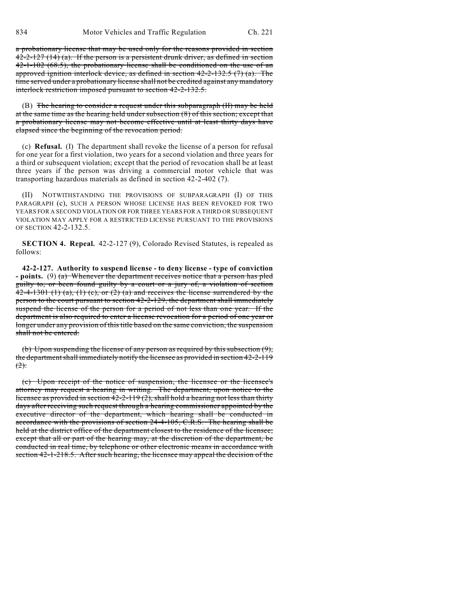a probationary license that may be used only for the reasons provided in section  $42-2-127$  (14) (a). If the person is a persistent drunk driver, as defined in section  $42-1-102$  (68.5), the probationary license shall be conditioned on the use of an approved ignition interlock device, as defined in section  $42-2-132.5$  (7) (a). The time served under a probationary license shall not be credited against any mandatory interlock restriction imposed pursuant to section 42-2-132.5.

(B) The hearing to consider a request under this subparagraph (II) may be held at the same time as the hearing held under subsection (8) of this section; except that a probationary license may not become effective until at least thirty days have elapsed since the beginning of the revocation period.

(c) **Refusal.** (I) The department shall revoke the license of a person for refusal for one year for a first violation, two years for a second violation and three years for a third or subsequent violation; except that the period of revocation shall be at least three years if the person was driving a commercial motor vehicle that was transporting hazardous materials as defined in section 42-2-402 (7).

(II) NOTWITHSTANDING THE PROVISIONS OF SUBPARAGRAPH (I) OF THIS PARAGRAPH (c), SUCH A PERSON WHOSE LICENSE HAS BEEN REVOKED FOR TWO YEARS FOR A SECOND VIOLATION OR FOR THREE YEARS FOR A THIRD OR SUBSEQUENT VIOLATION MAY APPLY FOR A RESTRICTED LICENSE PURSUANT TO THE PROVISIONS OF SECTION 42-2-132.5.

**SECTION 4. Repeal.** 42-2-127 (9), Colorado Revised Statutes, is repealed as follows:

**42-2-127. Authority to suspend license - to deny license - type of conviction - points.** (9) (a) Whenever the department receives notice that a person has pled guilty to, or been found guilty by a court or a jury of, a violation of section 42-4-1301 (1) (a), (1) (c), or (2) (a) and receives the license surrendered by the person to the court pursuant to section 42-2-129, the department shall immediately suspend the license of the person for a period of not less than one year. If the department is also required to enter a license revocation for a period of one year or longer under any provision of this title based on the same conviction, the suspension shall not be entered.

(b) Upon suspending the license of any person as required by this subsection (9), the department shall immediately notify the licensee as provided in section 42-2-119  $(2)$ .

(c) Upon receipt of the notice of suspension, the licensee or the licensee's attorney may request a hearing in writing. The department, upon notice to the licensee as provided in section 42-2-119 (2), shall hold a hearing not less than thirty days after receiving such request through a hearing commissioner appointed by the executive director of the department, which hearing shall be conducted in accordance with the provisions of section 24-4-105, C.R.S. The hearing shall be held at the district office of the department closest to the residence of the licensee; except that all or part of the hearing may, at the discretion of the department, be conducted in real time, by telephone or other electronic means in accordance with section 42-1-218.5. After such hearing, the licensee may appeal the decision of the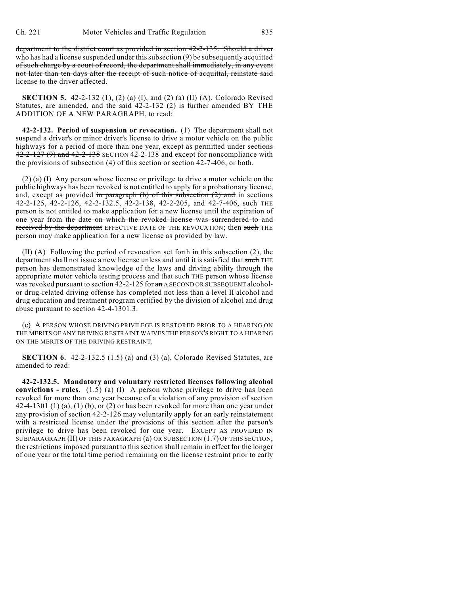department to the district court as provided in section 42-2-135. Should a driver who has had a license suspended under this subsection (9) be subsequently acquitted of such charge by a court of record, the department shall immediately, in any event not later than ten days after the receipt of such notice of acquittal, reinstate said license to the driver affected.

**SECTION 5.** 42-2-132 (1), (2) (a) (I), and (2) (a) (II) (A), Colorado Revised Statutes, are amended, and the said 42-2-132 (2) is further amended BY THE ADDITION OF A NEW PARAGRAPH, to read:

**42-2-132. Period of suspension or revocation.** (1) The department shall not suspend a driver's or minor driver's license to drive a motor vehicle on the public highways for a period of more than one year, except as permitted under sections  $42-2-127(9)$  and  $42-2-138$  SECTION 42-2-138 and except for noncompliance with the provisions of subsection (4) of this section or section 42-7-406, or both.

(2) (a) (I) Any person whose license or privilege to drive a motor vehicle on the public highways has been revoked is not entitled to apply for a probationary license, and, except as provided in paragraph (b) of this subsection  $(2)$  and in sections 42-2-125, 42-2-126, 42-2-132.5, 42-2-138, 42-2-205, and 42-7-406, such THE person is not entitled to make application for a new license until the expiration of one year from the date on which the revoked license was surrendered to and received by the department EFFECTIVE DATE OF THE REVOCATION; then such THE person may make application for a new license as provided by law.

(II) (A) Following the period of revocation set forth in this subsection (2), the department shall not issue a new license unless and until it is satisfied that such THE person has demonstrated knowledge of the laws and driving ability through the appropriate motor vehicle testing process and that such THE person whose license was revoked pursuant to section 42-2-125 for  $\pi$  A SECOND OR SUBSEQUENT alcoholor drug-related driving offense has completed not less than a level II alcohol and drug education and treatment program certified by the division of alcohol and drug abuse pursuant to section 42-4-1301.3.

(c) A PERSON WHOSE DRIVING PRIVILEGE IS RESTORED PRIOR TO A HEARING ON THE MERITS OF ANY DRIVING RESTRAINT WAIVES THE PERSON'S RIGHT TO A HEARING ON THE MERITS OF THE DRIVING RESTRAINT.

**SECTION 6.** 42-2-132.5 (1.5) (a) and (3) (a), Colorado Revised Statutes, are amended to read:

**42-2-132.5. Mandatory and voluntary restricted licenses following alcohol convictions - rules.** (1.5) (a) (I) A person whose privilege to drive has been revoked for more than one year because of a violation of any provision of section  $42-4-1301$  (1) (a), (1) (b), or (2) or has been revoked for more than one year under any provision of section 42-2-126 may voluntarily apply for an early reinstatement with a restricted license under the provisions of this section after the person's privilege to drive has been revoked for one year. EXCEPT AS PROVIDED IN SUBPARAGRAPH (II) OF THIS PARAGRAPH (a) OR SUBSECTION (1.7) OF THIS SECTION, the restrictions imposed pursuant to this section shall remain in effect for the longer of one year or the total time period remaining on the license restraint prior to early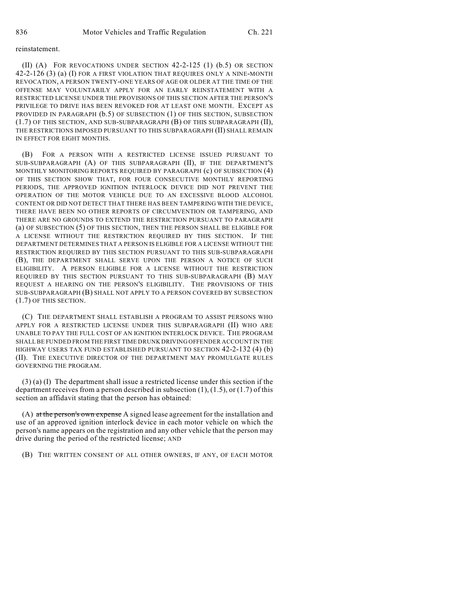### reinstatement.

(II) (A) FOR REVOCATIONS UNDER SECTION 42-2-125 (1) (b.5) OR SECTION 42-2-126 (3) (a) (I) FOR A FIRST VIOLATION THAT REQUIRES ONLY A NINE-MONTH REVOCATION, A PERSON TWENTY-ONE YEARS OF AGE OR OLDER AT THE TIME OF THE OFFENSE MAY VOLUNTARILY APPLY FOR AN EARLY REINSTATEMENT WITH A RESTRICTED LICENSE UNDER THE PROVISIONS OF THIS SECTION AFTER THE PERSON'S PRIVILEGE TO DRIVE HAS BEEN REVOKED FOR AT LEAST ONE MONTH. EXCEPT AS PROVIDED IN PARAGRAPH (b.5) OF SUBSECTION (1) OF THIS SECTION, SUBSECTION (1.7) OF THIS SECTION, AND SUB-SUBPARAGRAPH (B) OF THIS SUBPARAGRAPH (II), THE RESTRICTIONS IMPOSED PURSUANT TO THIS SUBPARAGRAPH (II) SHALL REMAIN IN EFFECT FOR EIGHT MONTHS.

(B) FOR A PERSON WITH A RESTRICTED LICENSE ISSUED PURSUANT TO SUB-SUBPARAGRAPH (A) OF THIS SUBPARAGRAPH (II), IF THE DEPARTMENT'S MONTHLY MONITORING REPORTS REQUIRED BY PARAGRAPH (c) OF SUBSECTION (4) OF THIS SECTION SHOW THAT, FOR FOUR CONSECUTIVE MONTHLY REPORTING PERIODS, THE APPROVED IGNITION INTERLOCK DEVICE DID NOT PREVENT THE OPERATION OF THE MOTOR VEHICLE DUE TO AN EXCESSIVE BLOOD ALCOHOL CONTENT OR DID NOT DETECT THAT THERE HAS BEEN TAMPERING WITH THE DEVICE, THERE HAVE BEEN NO OTHER REPORTS OF CIRCUMVENTION OR TAMPERING, AND THERE ARE NO GROUNDS TO EXTEND THE RESTRICTION PURSUANT TO PARAGRAPH (a) OF SUBSECTION (5) OF THIS SECTION, THEN THE PERSON SHALL BE ELIGIBLE FOR A LICENSE WITHOUT THE RESTRICTION REQUIRED BY THIS SECTION. IF THE DEPARTMENT DETERMINES THAT A PERSON IS ELIGIBLE FOR A LICENSE WITHOUT THE RESTRICTION REQUIRED BY THIS SECTION PURSUANT TO THIS SUB-SUBPARAGRAPH (B), THE DEPARTMENT SHALL SERVE UPON THE PERSON A NOTICE OF SUCH ELIGIBILITY. A PERSON ELIGIBLE FOR A LICENSE WITHOUT THE RESTRICTION REQUIRED BY THIS SECTION PURSUANT TO THIS SUB-SUBPARAGRAPH (B) MAY REQUEST A HEARING ON THE PERSON'S ELIGIBILITY. THE PROVISIONS OF THIS SUB-SUBPARAGRAPH (B) SHALL NOT APPLY TO A PERSON COVERED BY SUBSECTION (1.7) OF THIS SECTION.

(C) THE DEPARTMENT SHALL ESTABLISH A PROGRAM TO ASSIST PERSONS WHO APPLY FOR A RESTRICTED LICENSE UNDER THIS SUBPARAGRAPH (II) WHO ARE UNABLE TO PAY THE FULL COST OF AN IGNITION INTERLOCK DEVICE. THE PROGRAM SHALL BE FUNDED FROM THE FIRST TIME DRUNK DRIVING OFFENDER ACCOUNT IN THE HIGHWAY USERS TAX FUND ESTABLISHED PURSUANT TO SECTION 42-2-132 (4) (b) (II). THE EXECUTIVE DIRECTOR OF THE DEPARTMENT MAY PROMULGATE RULES GOVERNING THE PROGRAM.

(3) (a) (I) The department shall issue a restricted license under this section if the department receives from a person described in subsection  $(1)$ ,  $(1.5)$ , or  $(1.7)$  of this section an affidavit stating that the person has obtained:

(A) at the person's own expense A signed lease agreement for the installation and use of an approved ignition interlock device in each motor vehicle on which the person's name appears on the registration and any other vehicle that the person may drive during the period of the restricted license; AND

(B) THE WRITTEN CONSENT OF ALL OTHER OWNERS, IF ANY, OF EACH MOTOR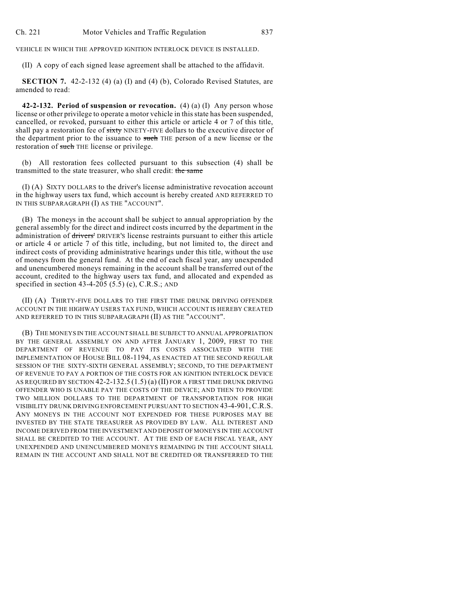VEHICLE IN WHICH THE APPROVED IGNITION INTERLOCK DEVICE IS INSTALLED.

(II) A copy of each signed lease agreement shall be attached to the affidavit.

**SECTION 7.** 42-2-132 (4) (a) (I) and (4) (b), Colorado Revised Statutes, are amended to read:

**42-2-132. Period of suspension or revocation.** (4) (a) (I) Any person whose license or other privilege to operate a motor vehicle in this state has been suspended, cancelled, or revoked, pursuant to either this article or article 4 or 7 of this title, shall pay a restoration fee of sixty NINETY-FIVE dollars to the executive director of the department prior to the issuance to such THE person of a new license or the restoration of such THE license or privilege.

(b) All restoration fees collected pursuant to this subsection (4) shall be transmitted to the state treasurer, who shall credit: the same

(I) (A) SIXTY DOLLARS to the driver's license administrative revocation account in the highway users tax fund, which account is hereby created AND REFERRED TO IN THIS SUBPARAGRAPH (I) AS THE "ACCOUNT".

(B) The moneys in the account shall be subject to annual appropriation by the general assembly for the direct and indirect costs incurred by the department in the administration of drivers' DRIVER'S license restraints pursuant to either this article or article 4 or article 7 of this title, including, but not limited to, the direct and indirect costs of providing administrative hearings under this title, without the use of moneys from the general fund. At the end of each fiscal year, any unexpended and unencumbered moneys remaining in the account shall be transferred out of the account, credited to the highway users tax fund, and allocated and expended as specified in section  $43-4-205$  (5.5) (c), C.R.S.; AND

(II) (A) THIRTY-FIVE DOLLARS TO THE FIRST TIME DRUNK DRIVING OFFENDER ACCOUNT IN THE HIGHWAY USERS TAX FUND, WHICH ACCOUNT IS HEREBY CREATED AND REFERRED TO IN THIS SUBPARAGRAPH (II) AS THE "ACCOUNT".

(B) THE MONEYS IN THE ACCOUNT SHALL BE SUBJECT TO ANNUAL APPROPRIATION BY THE GENERAL ASSEMBLY ON AND AFTER JANUARY 1, 2009, FIRST TO THE DEPARTMENT OF REVENUE TO PAY ITS COSTS ASSOCIATED WITH THE IMPLEMENTATION OF HOUSE BILL 08-1194, AS ENACTED AT THE SECOND REGULAR SESSION OF THE SIXTY-SIXTH GENERAL ASSEMBLY; SECOND, TO THE DEPARTMENT OF REVENUE TO PAY A PORTION OF THE COSTS FOR AN IGNITION INTERLOCK DEVICE AS REQUIRED BY SECTION 42-2-132.5 (1.5) (a) (II) FOR A FIRST TIME DRUNK DRIVING OFFENDER WHO IS UNABLE PAY THE COSTS OF THE DEVICE; AND THEN TO PROVIDE TWO MILLION DOLLARS TO THE DEPARTMENT OF TRANSPORTATION FOR HIGH VISIBILITY DRUNK DRIVING ENFORCEMENT PURSUANT TO SECTION 43-4-901,C.R.S. ANY MONEYS IN THE ACCOUNT NOT EXPENDED FOR THESE PURPOSES MAY BE INVESTED BY THE STATE TREASURER AS PROVIDED BY LAW. ALL INTEREST AND INCOME DERIVED FROM THE INVESTMENT AND DEPOSIT OF MONEYS IN THE ACCOUNT SHALL BE CREDITED TO THE ACCOUNT. AT THE END OF EACH FISCAL YEAR, ANY UNEXPENDED AND UNENCUMBERED MONEYS REMAINING IN THE ACCOUNT SHALL REMAIN IN THE ACCOUNT AND SHALL NOT BE CREDITED OR TRANSFERRED TO THE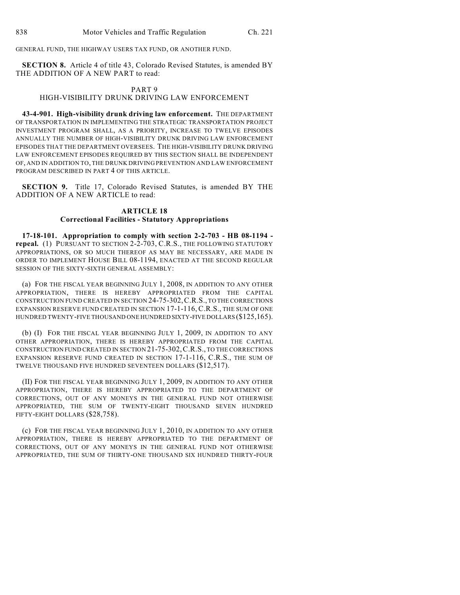GENERAL FUND, THE HIGHWAY USERS TAX FUND, OR ANOTHER FUND.

**SECTION 8.** Article 4 of title 43, Colorado Revised Statutes, is amended BY THE ADDITION OF A NEW PART to read:

# PART 9

## HIGH-VISIBILITY DRUNK DRIVING LAW ENFORCEMENT

**43-4-901. High-visibility drunk driving law enforcement.** THE DEPARTMENT OF TRANSPORTATION IN IMPLEMENTING THE STRATEGIC TRANSPORTATION PROJECT INVESTMENT PROGRAM SHALL, AS A PRIORITY, INCREASE TO TWELVE EPISODES ANNUALLY THE NUMBER OF HIGH-VISIBILITY DRUNK DRIVING LAW ENFORCEMENT EPISODES THAT THE DEPARTMENT OVERSEES. THE HIGH-VISIBILITY DRUNK DRIVING LAW ENFORCEMENT EPISODES REQUIRED BY THIS SECTION SHALL BE INDEPENDENT OF, AND IN ADDITION TO, THE DRUNK DRIVING PREVENTION AND LAW ENFORCEMENT PROGRAM DESCRIBED IN PART 4 OF THIS ARTICLE.

**SECTION 9.** Title 17, Colorado Revised Statutes, is amended BY THE ADDITION OF A NEW ARTICLE to read:

### **ARTICLE 18 Correctional Facilities - Statutory Appropriations**

**17-18-101. Appropriation to comply with section 2-2-703 - HB 08-1194 repeal.** (1) PURSUANT TO SECTION 2-2-703, C.R.S., THE FOLLOWING STATUTORY APPROPRIATIONS, OR SO MUCH THEREOF AS MAY BE NECESSARY, ARE MADE IN ORDER TO IMPLEMENT HOUSE BILL 08-1194, ENACTED AT THE SECOND REGULAR SESSION OF THE SIXTY-SIXTH GENERAL ASSEMBLY:

(a) FOR THE FISCAL YEAR BEGINNING JULY 1, 2008, IN ADDITION TO ANY OTHER APPROPRIATION, THERE IS HEREBY APPROPRIATED FROM THE CAPITAL CONSTRUCTION FUND CREATED IN SECTION 24-75-302,C.R.S., TO THE CORRECTIONS EXPANSION RESERVE FUND CREATED IN SECTION 17-1-116, C.R.S., THE SUM OF ONE HUNDRED TWENTY-FIVE THOUSAND ONE HUNDRED SIXTY-FIVE DOLLARS (\$125,165).

(b) (I) FOR THE FISCAL YEAR BEGINNING JULY 1, 2009, IN ADDITION TO ANY OTHER APPROPRIATION, THERE IS HEREBY APPROPRIATED FROM THE CAPITAL CONSTRUCTION FUND CREATED IN SECTION 21-75-302,C.R.S., TO THE CORRECTIONS EXPANSION RESERVE FUND CREATED IN SECTION 17-1-116, C.R.S., THE SUM OF TWELVE THOUSAND FIVE HUNDRED SEVENTEEN DOLLARS (\$12,517).

(II) FOR THE FISCAL YEAR BEGINNING JULY 1, 2009, IN ADDITION TO ANY OTHER APPROPRIATION, THERE IS HEREBY APPROPRIATED TO THE DEPARTMENT OF CORRECTIONS, OUT OF ANY MONEYS IN THE GENERAL FUND NOT OTHERWISE APPROPRIATED, THE SUM OF TWENTY-EIGHT THOUSAND SEVEN HUNDRED FIFTY-EIGHT DOLLARS (\$28,758).

(c) FOR THE FISCAL YEAR BEGINNING JULY 1, 2010, IN ADDITION TO ANY OTHER APPROPRIATION, THERE IS HEREBY APPROPRIATED TO THE DEPARTMENT OF CORRECTIONS, OUT OF ANY MONEYS IN THE GENERAL FUND NOT OTHERWISE APPROPRIATED, THE SUM OF THIRTY-ONE THOUSAND SIX HUNDRED THIRTY-FOUR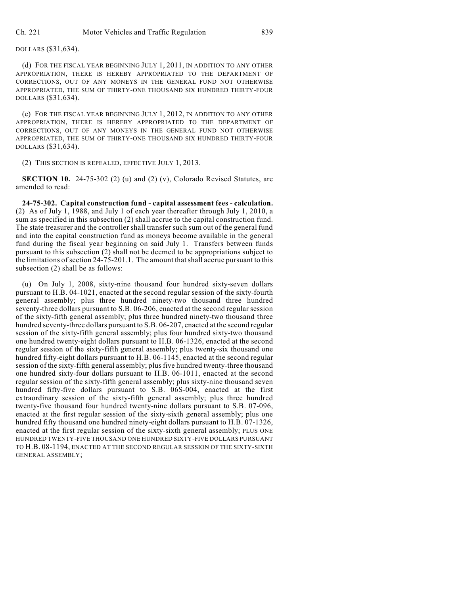(d) FOR THE FISCAL YEAR BEGINNING JULY 1, 2011, IN ADDITION TO ANY OTHER APPROPRIATION, THERE IS HEREBY APPROPRIATED TO THE DEPARTMENT OF CORRECTIONS, OUT OF ANY MONEYS IN THE GENERAL FUND NOT OTHERWISE APPROPRIATED, THE SUM OF THIRTY-ONE THOUSAND SIX HUNDRED THIRTY-FOUR DOLLARS (\$31,634).

(e) FOR THE FISCAL YEAR BEGINNING JULY 1, 2012, IN ADDITION TO ANY OTHER APPROPRIATION, THERE IS HEREBY APPROPRIATED TO THE DEPARTMENT OF CORRECTIONS, OUT OF ANY MONEYS IN THE GENERAL FUND NOT OTHERWISE APPROPRIATED, THE SUM OF THIRTY-ONE THOUSAND SIX HUNDRED THIRTY-FOUR DOLLARS (\$31,634).

(2) THIS SECTION IS REPEALED, EFFECTIVE JULY 1, 2013.

**SECTION 10.** 24-75-302 (2) (u) and (2) (v), Colorado Revised Statutes, are amended to read:

**24-75-302. Capital construction fund - capital assessment fees - calculation.** (2) As of July 1, 1988, and July 1 of each year thereafter through July 1, 2010, a sum as specified in this subsection (2) shall accrue to the capital construction fund. The state treasurer and the controller shall transfer such sum out of the general fund and into the capital construction fund as moneys become available in the general fund during the fiscal year beginning on said July 1. Transfers between funds pursuant to this subsection (2) shall not be deemed to be appropriations subject to the limitations of section 24-75-201.1. The amount that shall accrue pursuant to this subsection (2) shall be as follows:

(u) On July 1, 2008, sixty-nine thousand four hundred sixty-seven dollars pursuant to H.B. 04-1021, enacted at the second regular session of the sixty-fourth general assembly; plus three hundred ninety-two thousand three hundred seventy-three dollars pursuant to S.B. 06-206, enacted at the second regular session of the sixty-fifth general assembly; plus three hundred ninety-two thousand three hundred seventy-three dollars pursuant to S.B. 06-207, enacted at the second regular session of the sixty-fifth general assembly; plus four hundred sixty-two thousand one hundred twenty-eight dollars pursuant to H.B. 06-1326, enacted at the second regular session of the sixty-fifth general assembly; plus twenty-six thousand one hundred fifty-eight dollars pursuant to H.B. 06-1145, enacted at the second regular session of the sixty-fifth general assembly; plus five hundred twenty-three thousand one hundred sixty-four dollars pursuant to H.B. 06-1011, enacted at the second regular session of the sixty-fifth general assembly; plus sixty-nine thousand seven hundred fifty-five dollars pursuant to S.B. 06S-004, enacted at the first extraordinary session of the sixty-fifth general assembly; plus three hundred twenty-five thousand four hundred twenty-nine dollars pursuant to S.B. 07-096, enacted at the first regular session of the sixty-sixth general assembly; plus one hundred fifty thousand one hundred ninety-eight dollars pursuant to H.B. 07-1326, enacted at the first regular session of the sixty-sixth general assembly; PLUS ONE HUNDRED TWENTY-FIVE THOUSAND ONE HUNDRED SIXTY-FIVE DOLLARS PURSUANT TO H.B. 08-1194, ENACTED AT THE SECOND REGULAR SESSION OF THE SIXTY-SIXTH GENERAL ASSEMBLY;